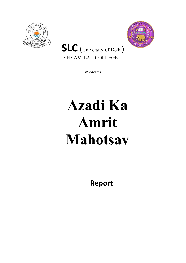



## **SLC** (University of Delhi) SHYAM LAL COLLEGE

*celebrates*

## **Azadi Ka Amrit Mahotsav**

**Report**